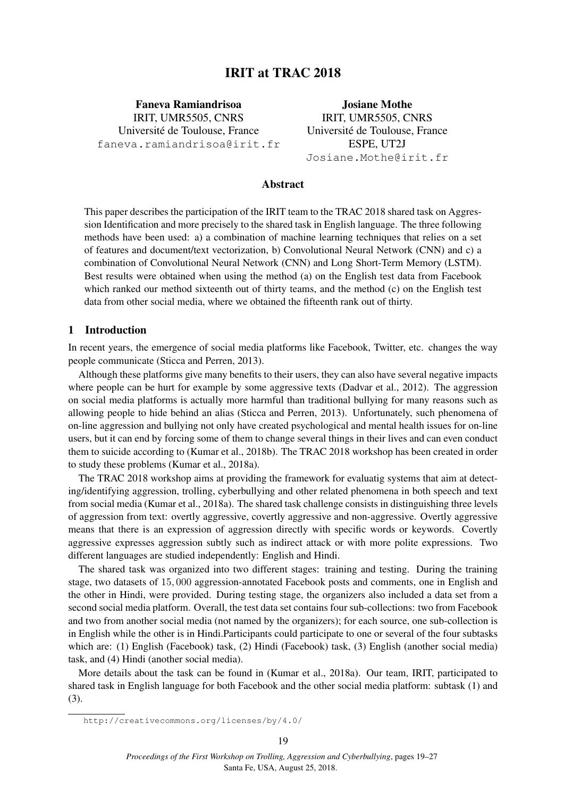# IRIT at TRAC 2018

Faneva Ramiandrisoa IRIT, UMR5505, CNRS Université de Toulouse, France faneva.ramiandrisoa@irit.fr

Josiane Mothe IRIT, UMR5505, CNRS Université de Toulouse, France ESPE, UT2J Josiane.Mothe@irit.fr

### Abstract

This paper describes the participation of the IRIT team to the TRAC 2018 shared task on Aggression Identification and more precisely to the shared task in English language. The three following methods have been used: a) a combination of machine learning techniques that relies on a set of features and document/text vectorization, b) Convolutional Neural Network (CNN) and c) a combination of Convolutional Neural Network (CNN) and Long Short-Term Memory (LSTM). Best results were obtained when using the method (a) on the English test data from Facebook which ranked our method sixteenth out of thirty teams, and the method (c) on the English test data from other social media, where we obtained the fifteenth rank out of thirty.

### 1 Introduction

In recent years, the emergence of social media platforms like Facebook, Twitter, etc. changes the way people communicate (Sticca and Perren, 2013).

Although these platforms give many benefits to their users, they can also have several negative impacts where people can be hurt for example by some aggressive texts (Dadvar et al., 2012). The aggression on social media platforms is actually more harmful than traditional bullying for many reasons such as allowing people to hide behind an alias (Sticca and Perren, 2013). Unfortunately, such phenomena of on-line aggression and bullying not only have created psychological and mental health issues for on-line users, but it can end by forcing some of them to change several things in their lives and can even conduct them to suicide according to (Kumar et al., 2018b). The TRAC 2018 workshop has been created in order to study these problems (Kumar et al., 2018a).

The TRAC 2018 workshop aims at providing the framework for evaluatig systems that aim at detecting/identifying aggression, trolling, cyberbullying and other related phenomena in both speech and text from social media (Kumar et al., 2018a). The shared task challenge consists in distinguishing three levels of aggression from text: overtly aggressive, covertly aggressive and non-aggressive. Overtly aggressive means that there is an expression of aggression directly with specific words or keywords. Covertly aggressive expresses aggression subtly such as indirect attack or with more polite expressions. Two different languages are studied independently: English and Hindi.

The shared task was organized into two different stages: training and testing. During the training stage, two datasets of 15, 000 aggression-annotated Facebook posts and comments, one in English and the other in Hindi, were provided. During testing stage, the organizers also included a data set from a second social media platform. Overall, the test data set contains four sub-collections: two from Facebook and two from another social media (not named by the organizers); for each source, one sub-collection is in English while the other is in Hindi.Participants could participate to one or several of the four subtasks which are: (1) English (Facebook) task, (2) Hindi (Facebook) task, (3) English (another social media) task, and (4) Hindi (another social media).

More details about the task can be found in (Kumar et al., 2018a). Our team, IRIT, participated to shared task in English language for both Facebook and the other social media platform: subtask (1) and (3).

http://creativecommons.org/licenses/by/4.0/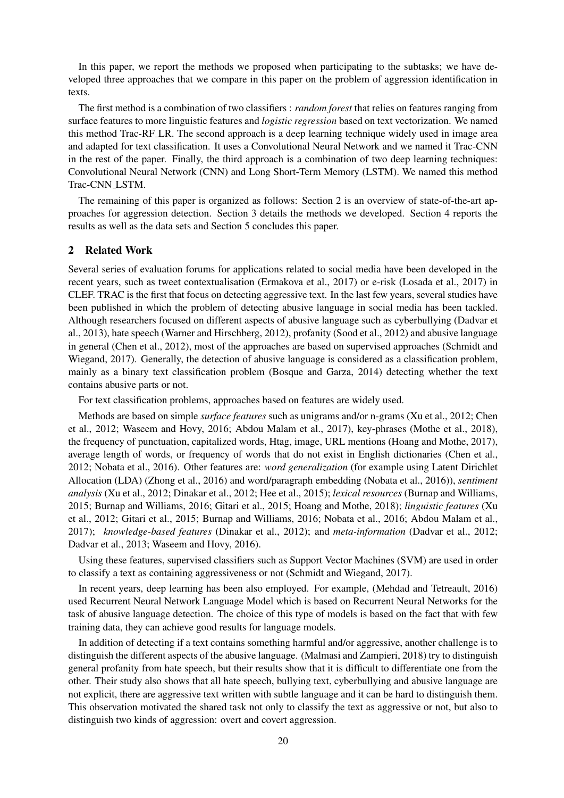In this paper, we report the methods we proposed when participating to the subtasks; we have developed three approaches that we compare in this paper on the problem of aggression identification in texts.

The first method is a combination of two classifiers : *random forest* that relies on features ranging from surface features to more linguistic features and *logistic regression* based on text vectorization. We named this method Trac-RF LR. The second approach is a deep learning technique widely used in image area and adapted for text classification. It uses a Convolutional Neural Network and we named it Trac-CNN in the rest of the paper. Finally, the third approach is a combination of two deep learning techniques: Convolutional Neural Network (CNN) and Long Short-Term Memory (LSTM). We named this method Trac-CNN LSTM.

The remaining of this paper is organized as follows: Section 2 is an overview of state-of-the-art approaches for aggression detection. Section 3 details the methods we developed. Section 4 reports the results as well as the data sets and Section 5 concludes this paper.

#### 2 Related Work

Several series of evaluation forums for applications related to social media have been developed in the recent years, such as tweet contextualisation (Ermakova et al., 2017) or e-risk (Losada et al., 2017) in CLEF. TRAC is the first that focus on detecting aggressive text. In the last few years, several studies have been published in which the problem of detecting abusive language in social media has been tackled. Although researchers focused on different aspects of abusive language such as cyberbullying (Dadvar et al., 2013), hate speech (Warner and Hirschberg, 2012), profanity (Sood et al., 2012) and abusive language in general (Chen et al., 2012), most of the approaches are based on supervised approaches (Schmidt and Wiegand, 2017). Generally, the detection of abusive language is considered as a classification problem, mainly as a binary text classification problem (Bosque and Garza, 2014) detecting whether the text contains abusive parts or not.

For text classification problems, approaches based on features are widely used.

Methods are based on simple *surface features* such as unigrams and/or n-grams (Xu et al., 2012; Chen et al., 2012; Waseem and Hovy, 2016; Abdou Malam et al., 2017), key-phrases (Mothe et al., 2018), the frequency of punctuation, capitalized words, Htag, image, URL mentions (Hoang and Mothe, 2017), average length of words, or frequency of words that do not exist in English dictionaries (Chen et al., 2012; Nobata et al., 2016). Other features are: *word generalization* (for example using Latent Dirichlet Allocation (LDA) (Zhong et al., 2016) and word/paragraph embedding (Nobata et al., 2016)), *sentiment analysis* (Xu et al., 2012; Dinakar et al., 2012; Hee et al., 2015); *lexical resources* (Burnap and Williams, 2015; Burnap and Williams, 2016; Gitari et al., 2015; Hoang and Mothe, 2018); *linguistic features* (Xu et al., 2012; Gitari et al., 2015; Burnap and Williams, 2016; Nobata et al., 2016; Abdou Malam et al., 2017); *knowledge-based features* (Dinakar et al., 2012); and *meta-information* (Dadvar et al., 2012; Dadvar et al., 2013; Waseem and Hovy, 2016).

Using these features, supervised classifiers such as Support Vector Machines (SVM) are used in order to classify a text as containing aggressiveness or not (Schmidt and Wiegand, 2017).

In recent years, deep learning has been also employed. For example, (Mehdad and Tetreault, 2016) used Recurrent Neural Network Language Model which is based on Recurrent Neural Networks for the task of abusive language detection. The choice of this type of models is based on the fact that with few training data, they can achieve good results for language models.

In addition of detecting if a text contains something harmful and/or aggressive, another challenge is to distinguish the different aspects of the abusive language. (Malmasi and Zampieri, 2018) try to distinguish general profanity from hate speech, but their results show that it is difficult to differentiate one from the other. Their study also shows that all hate speech, bullying text, cyberbullying and abusive language are not explicit, there are aggressive text written with subtle language and it can be hard to distinguish them. This observation motivated the shared task not only to classify the text as aggressive or not, but also to distinguish two kinds of aggression: overt and covert aggression.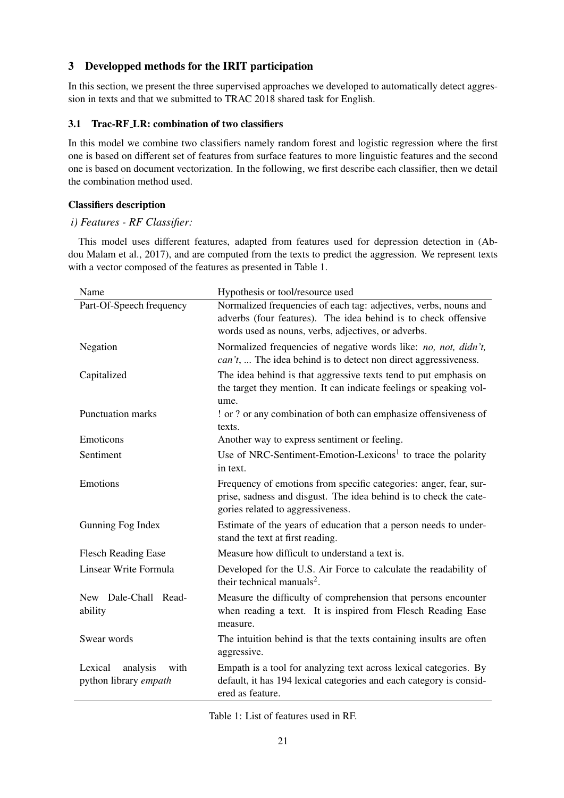# 3 Developped methods for the IRIT participation

In this section, we present the three supervised approaches we developed to automatically detect aggression in texts and that we submitted to TRAC 2018 shared task for English.

# 3.1 Trac-RF LR: combination of two classifiers

In this model we combine two classifiers namely random forest and logistic regression where the first one is based on different set of features from surface features to more linguistic features and the second one is based on document vectorization. In the following, we first describe each classifier, then we detail the combination method used.

## Classifiers description

# *i) Features - RF Classifier:*

This model uses different features, adapted from features used for depression detection in (Abdou Malam et al., 2017), and are computed from the texts to predict the aggression. We represent texts with a vector composed of the features as presented in Table 1.

| Name                                                 | Hypothesis or tool/resource used                                                                                                                                                          |  |  |  |
|------------------------------------------------------|-------------------------------------------------------------------------------------------------------------------------------------------------------------------------------------------|--|--|--|
| Part-Of-Speech frequency                             | Normalized frequencies of each tag: adjectives, verbs, nouns and<br>adverbs (four features). The idea behind is to check offensive<br>words used as nouns, verbs, adjectives, or adverbs. |  |  |  |
| Negation                                             | Normalized frequencies of negative words like: no, not, didn't,<br><i>can't</i> ,  The idea behind is to detect non direct aggressiveness.                                                |  |  |  |
| Capitalized                                          | The idea behind is that aggressive texts tend to put emphasis on<br>the target they mention. It can indicate feelings or speaking vol-<br>ume.                                            |  |  |  |
| <b>Punctuation marks</b>                             | ! or ? or any combination of both can emphasize offensiveness of<br>texts.                                                                                                                |  |  |  |
| Emoticons                                            | Another way to express sentiment or feeling.                                                                                                                                              |  |  |  |
| Sentiment                                            | Use of NRC-Sentiment-Emotion-Lexicons <sup>1</sup> to trace the polarity<br>in text.                                                                                                      |  |  |  |
| Emotions                                             | Frequency of emotions from specific categories: anger, fear, sur-<br>prise, sadness and disgust. The idea behind is to check the cate-<br>gories related to aggressiveness.               |  |  |  |
| Gunning Fog Index                                    | Estimate of the years of education that a person needs to under-<br>stand the text at first reading.                                                                                      |  |  |  |
| <b>Flesch Reading Ease</b>                           | Measure how difficult to understand a text is.                                                                                                                                            |  |  |  |
| Linsear Write Formula                                | Developed for the U.S. Air Force to calculate the readability of<br>their technical manuals <sup>2</sup> .                                                                                |  |  |  |
| New Dale-Chall Read-<br>ability                      | Measure the difficulty of comprehension that persons encounter<br>when reading a text. It is inspired from Flesch Reading Ease<br>measure.                                                |  |  |  |
| Swear words                                          | The intuition behind is that the texts containing insults are often<br>aggressive.                                                                                                        |  |  |  |
| with<br>Lexical<br>analysis<br>python library empath | Empath is a tool for analyzing text across lexical categories. By<br>default, it has 194 lexical categories and each category is consid-<br>ered as feature.                              |  |  |  |

Table 1: List of features used in RF.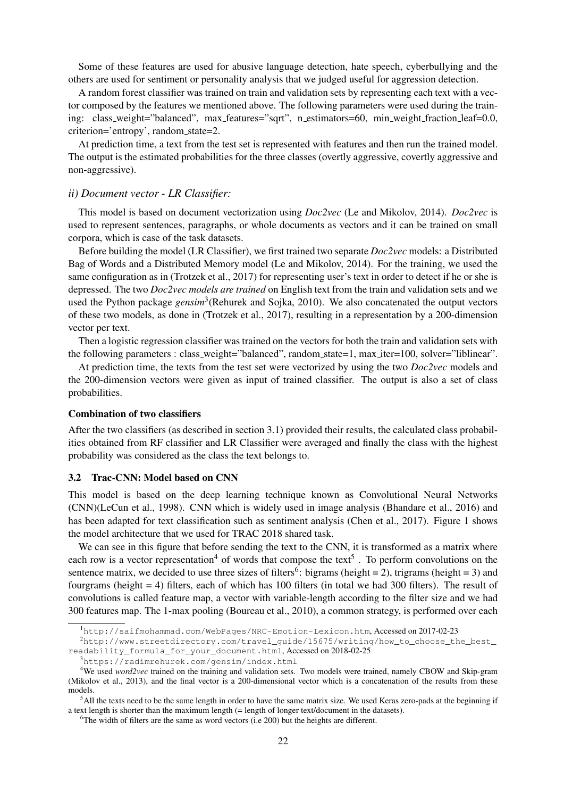Some of these features are used for abusive language detection, hate speech, cyberbullying and the others are used for sentiment or personality analysis that we judged useful for aggression detection.

A random forest classifier was trained on train and validation sets by representing each text with a vector composed by the features we mentioned above. The following parameters were used during the training: class weight="balanced", max features="sqrt", n estimators=60, min weight fraction leaf=0.0, criterion='entropy', random state=2.

At prediction time, a text from the test set is represented with features and then run the trained model. The output is the estimated probabilities for the three classes (overtly aggressive, covertly aggressive and non-aggressive).

### *ii) Document vector - LR Classifier:*

This model is based on document vectorization using *Doc2vec* (Le and Mikolov, 2014). *Doc2vec* is used to represent sentences, paragraphs, or whole documents as vectors and it can be trained on small corpora, which is case of the task datasets.

Before building the model (LR Classifier), we first trained two separate *Doc2vec* models: a Distributed Bag of Words and a Distributed Memory model (Le and Mikolov, 2014). For the training, we used the same configuration as in (Trotzek et al., 2017) for representing user's text in order to detect if he or she is depressed. The two *Doc2vec models are trained* on English text from the train and validation sets and we used the Python package *gensim*<sup>3</sup>(Rehurek and Sojka, 2010). We also concatenated the output vectors of these two models, as done in (Trotzek et al., 2017), resulting in a representation by a 200-dimension vector per text.

Then a logistic regression classifier was trained on the vectors for both the train and validation sets with the following parameters : class weight="balanced", random state=1, max iter=100, solver="liblinear".

At prediction time, the texts from the test set were vectorized by using the two *Doc2vec* models and the 200-dimension vectors were given as input of trained classifier. The output is also a set of class probabilities.

## Combination of two classifiers

After the two classifiers (as described in section 3.1) provided their results, the calculated class probabilities obtained from RF classifier and LR Classifier were averaged and finally the class with the highest probability was considered as the class the text belongs to.

#### 3.2 Trac-CNN: Model based on CNN

This model is based on the deep learning technique known as Convolutional Neural Networks (CNN)(LeCun et al., 1998). CNN which is widely used in image analysis (Bhandare et al., 2016) and has been adapted for text classification such as sentiment analysis (Chen et al., 2017). Figure 1 shows the model architecture that we used for TRAC 2018 shared task.

We can see in this figure that before sending the text to the CNN, it is transformed as a matrix where each row is a vector representation<sup>4</sup> of words that compose the text<sup>5</sup>. To perform convolutions on the sentence matrix, we decided to use three sizes of filters<sup>6</sup>: bigrams (height = 2), trigrams (height = 3) and fourgrams (height = 4) filters, each of which has 100 filters (in total we had 300 filters). The result of convolutions is called feature map, a vector with variable-length according to the filter size and we had 300 features map. The 1-max pooling (Boureau et al., 2010), a common strategy, is performed over each

 $6$ The width of filters are the same as word vectors (i.e 200) but the heights are different.

<sup>1</sup>http://saifmohammad.com/WebPages/NRC-Emotion-Lexicon.htm, Accessed on 2017-02-23

<sup>2</sup>http://www.streetdirectory.com/travel\_guide/15675/writing/how\_to\_choose\_the\_best\_ readability\_formula\_for\_your\_document.html, Accessed on 2018-02-25

<sup>3</sup>https://radimrehurek.com/gensim/index.html

<sup>&</sup>lt;sup>4</sup>We used *word2vec* trained on the training and validation sets. Two models were trained, namely CBOW and Skip-gram (Mikolov et al., 2013), and the final vector is a 200-dimensional vector which is a concatenation of the results from these models.

 $<sup>5</sup>$ All the texts need to be the same length in order to have the same matrix size. We used Keras zero-pads at the beginning if</sup> a text length is shorter than the maximum length (= length of longer text/document in the datasets).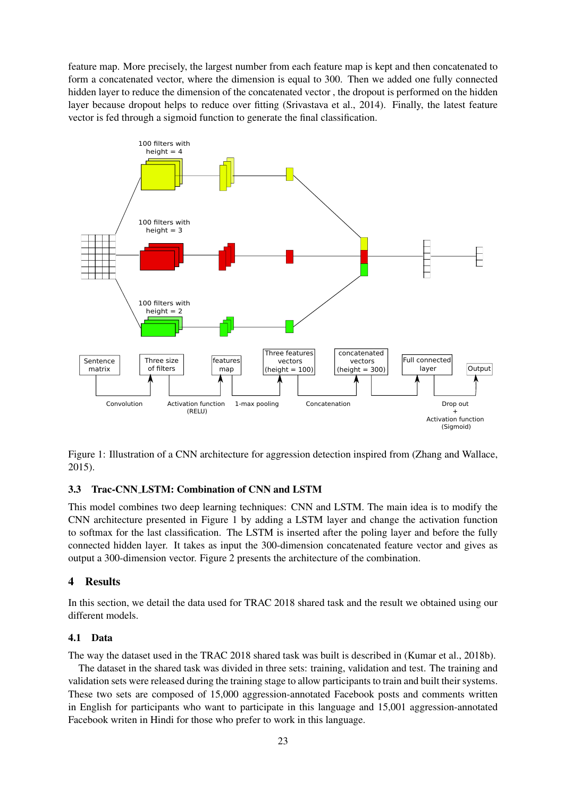feature map. More precisely, the largest number from each feature map is kept and then concatenated to form a concatenated vector, where the dimension is equal to 300. Then we added one fully connected hidden layer to reduce the dimension of the concatenated vector , the dropout is performed on the hidden layer because dropout helps to reduce over fitting (Srivastava et al., 2014). Finally, the latest feature vector is fed through a sigmoid function to generate the final classification.



Figure 1: Illustration of a CNN architecture for aggression detection inspired from (Zhang and Wallace, 2015).

### 3.3 Trac-CNN LSTM: Combination of CNN and LSTM

This model combines two deep learning techniques: CNN and LSTM. The main idea is to modify the CNN architecture presented in Figure 1 by adding a LSTM layer and change the activation function to softmax for the last classification. The LSTM is inserted after the poling layer and before the fully connected hidden layer. It takes as input the 300-dimension concatenated feature vector and gives as output a 300-dimension vector. Figure 2 presents the architecture of the combination.

### 4 Results

In this section, we detail the data used for TRAC 2018 shared task and the result we obtained using our different models.

#### 4.1 Data

The way the dataset used in the TRAC 2018 shared task was built is described in (Kumar et al., 2018b).

The dataset in the shared task was divided in three sets: training, validation and test. The training and validation sets were released during the training stage to allow participants to train and built their systems. These two sets are composed of 15,000 aggression-annotated Facebook posts and comments written in English for participants who want to participate in this language and 15,001 aggression-annotated Facebook writen in Hindi for those who prefer to work in this language.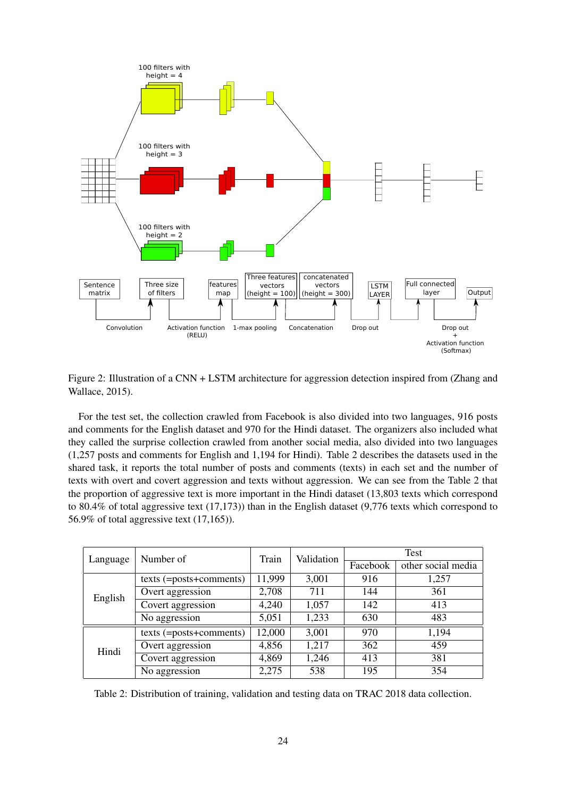

Figure 2: Illustration of a CNN + LSTM architecture for aggression detection inspired from (Zhang and Wallace, 2015).

For the test set, the collection crawled from Facebook is also divided into two languages, 916 posts and comments for the English dataset and 970 for the Hindi dataset. The organizers also included what they called the surprise collection crawled from another social media, also divided into two languages (1,257 posts and comments for English and 1,194 for Hindi). Table 2 describes the datasets used in the shared task, it reports the total number of posts and comments (texts) in each set and the number of texts with overt and covert aggression and texts without aggression. We can see from the Table 2 that the proportion of aggressive text is more important in the Hindi dataset (13,803 texts which correspond to 80.4% of total aggressive text (17,173)) than in the English dataset (9,776 texts which correspond to 56.9% of total aggressive text (17,165)).

|          | Number of                 | Train  | Validation | Test     |                    |
|----------|---------------------------|--------|------------|----------|--------------------|
| Language |                           |        |            | Facebook | other social media |
| English  | texts (=posts+comments)   | 11,999 | 3,001      | 916      | 1,257              |
|          | Overt aggression          | 2,708  | 711        | 144      | 361                |
|          | Covert aggression         | 4,240  | 1,057      | 142      | 413                |
|          | No aggression             | 5,051  | 1,233      | 630      | 483                |
| Hindi    | $texts$ (=posts+comments) | 12,000 | 3,001      | 970      | 1,194              |
|          | Overt aggression          | 4,856  | 1,217      | 362      | 459                |
|          | Covert aggression         | 4,869  | 1,246      | 413      | 381                |
|          | No aggression             | 2,275  | 538        | 195      | 354                |

Table 2: Distribution of training, validation and testing data on TRAC 2018 data collection.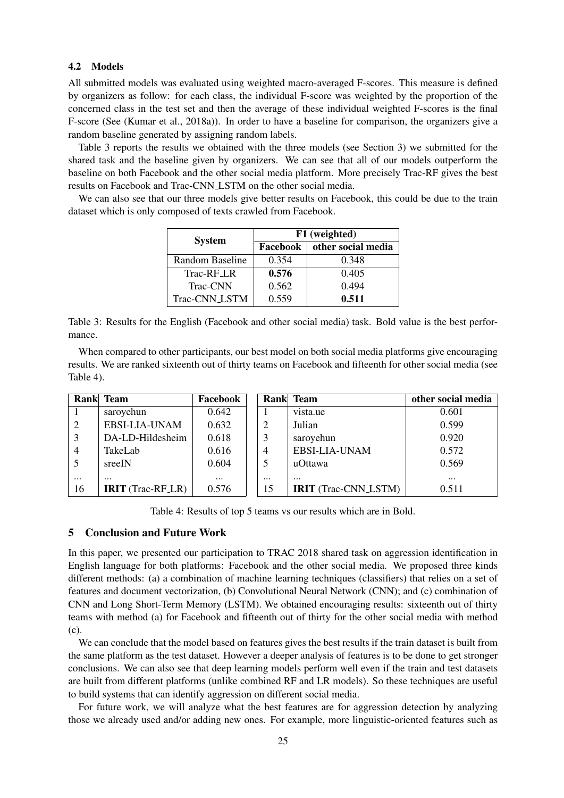#### 4.2 Models

All submitted models was evaluated using weighted macro-averaged F-scores. This measure is defined by organizers as follow: for each class, the individual F-score was weighted by the proportion of the concerned class in the test set and then the average of these individual weighted F-scores is the final F-score (See (Kumar et al., 2018a)). In order to have a baseline for comparison, the organizers give a random baseline generated by assigning random labels.

Table 3 reports the results we obtained with the three models (see Section 3) we submitted for the shared task and the baseline given by organizers. We can see that all of our models outperform the baseline on both Facebook and the other social media platform. More precisely Trac-RF gives the best results on Facebook and Trac-CNN LSTM on the other social media.

We can also see that our three models give better results on Facebook, this could be due to the train dataset which is only composed of texts crawled from Facebook.

| <b>System</b>         | F1 (weighted) |                    |  |  |
|-----------------------|---------------|--------------------|--|--|
|                       | Facebook      | other social media |  |  |
| Random Baseline       | 0.354         | 0.348              |  |  |
| Trac-RF <sub>LR</sub> | 0.576         | 0.405              |  |  |
| Trac-CNN              | 0.562         | 0.494              |  |  |
| Trac-CNN_LSTM         | 0.559         | 0.511              |  |  |

Table 3: Results for the English (Facebook and other social media) task. Bold value is the best performance.

When compared to other participants, our best model on both social media platforms give encouraging results. We are ranked sixteenth out of thirty teams on Facebook and fifteenth for other social media (see Table 4).

|                | Rank Team                | Facebook |          | Rank Team                   | other social media |
|----------------|--------------------------|----------|----------|-----------------------------|--------------------|
|                | saroyehun                | 0.642    |          | vista.ue                    | 0.601              |
| 2              | EBSI-LIA-UNAM            | 0.632    | 2        | Julian                      | 0.599              |
| 3              | DA-LD-Hildesheim         | 0.618    | 3        | saroyehun                   | 0.920              |
| $\overline{4}$ | TakeLab                  | 0.616    | 4        | EBSI-LIA-UNAM               | 0.572              |
|                | sreeIN                   | 0.604    | 5        | uOttawa                     | 0.569              |
| $\cdots$       | $\cdots$                 | $\cdots$ | $\cdots$ | $\cdots$                    | $\cdots$           |
| 16             | <b>IRIT</b> (Trac-RF_LR) | 0.576    | 15       | <b>IRIT</b> (Trac-CNN_LSTM) | 0.511              |

Table 4: Results of top 5 teams vs our results which are in Bold.

### 5 Conclusion and Future Work

In this paper, we presented our participation to TRAC 2018 shared task on aggression identification in English language for both platforms: Facebook and the other social media. We proposed three kinds different methods: (a) a combination of machine learning techniques (classifiers) that relies on a set of features and document vectorization, (b) Convolutional Neural Network (CNN); and (c) combination of CNN and Long Short-Term Memory (LSTM). We obtained encouraging results: sixteenth out of thirty teams with method (a) for Facebook and fifteenth out of thirty for the other social media with method (c).

We can conclude that the model based on features gives the best results if the train dataset is built from the same platform as the test dataset. However a deeper analysis of features is to be done to get stronger conclusions. We can also see that deep learning models perform well even if the train and test datasets are built from different platforms (unlike combined RF and LR models). So these techniques are useful to build systems that can identify aggression on different social media.

For future work, we will analyze what the best features are for aggression detection by analyzing those we already used and/or adding new ones. For example, more linguistic-oriented features such as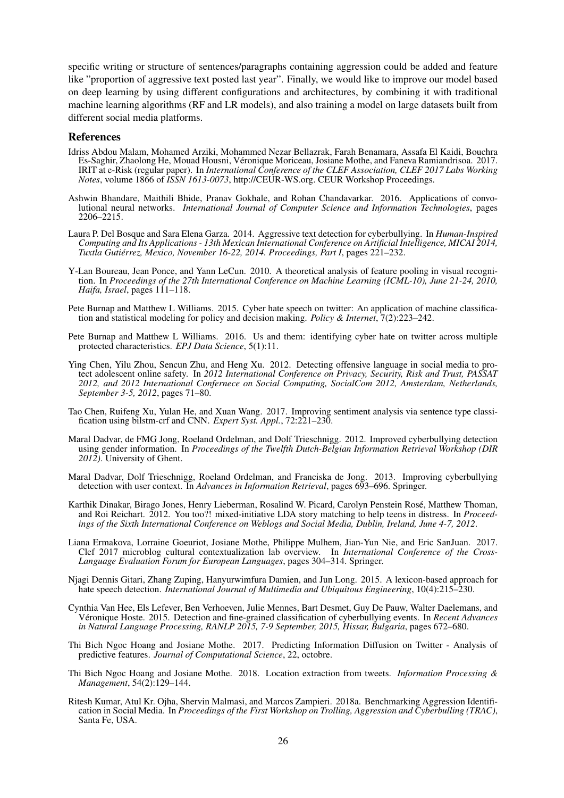specific writing or structure of sentences/paragraphs containing aggression could be added and feature like "proportion of aggressive text posted last year". Finally, we would like to improve our model based on deep learning by using different configurations and architectures, by combining it with traditional machine learning algorithms (RF and LR models), and also training a model on large datasets built from different social media platforms.

#### References

- Idriss Abdou Malam, Mohamed Arziki, Mohammed Nezar Bellazrak, Farah Benamara, Assafa El Kaidi, Bouchra Es-Saghir, Zhaolong He, Mouad Housni, Veronique Moriceau, Josiane Mothe, and Faneva Ramiandrisoa. 2017. ´ IRIT at e-Risk (regular paper). In *International Conference of the CLEF Association, CLEF 2017 Labs Working Notes*, volume 1866 of *ISSN 1613-0073*, http://CEUR-WS.org. CEUR Workshop Proceedings.
- Ashwin Bhandare, Maithili Bhide, Pranav Gokhale, and Rohan Chandavarkar. 2016. Applications of convolutional neural networks. *International Journal of Computer Science and Information Technologies*, pages 2206–2215.
- Laura P. Del Bosque and Sara Elena Garza. 2014. Aggressive text detection for cyberbullying. In *Human-Inspired Computing and Its Applications - 13th Mexican International Conference on Artificial Intelligence, MICAI 2014, Tuxtla Gutierrez, Mexico, November 16-22, 2014. Proceedings, Part I ´* , pages 221–232.
- Y-Lan Boureau, Jean Ponce, and Yann LeCun. 2010. A theoretical analysis of feature pooling in visual recognition. In *Proceedings of the 27th International Conference on Machine Learning (ICML-10), June 21-24, 2010, Haifa, Israel*, pages 111–118.
- Pete Burnap and Matthew L Williams. 2015. Cyber hate speech on twitter: An application of machine classification and statistical modeling for policy and decision making. *Policy & Internet*, 7(2):223–242.
- Pete Burnap and Matthew L Williams. 2016. Us and them: identifying cyber hate on twitter across multiple protected characteristics. *EPJ Data Science*, 5(1):11.
- Ying Chen, Yilu Zhou, Sencun Zhu, and Heng Xu. 2012. Detecting offensive language in social media to protect adolescent online safety. In *2012 International Conference on Privacy, Security, Risk and Trust, PASSAT 2012, and 2012 International Confernece on Social Computing, SocialCom 2012, Amsterdam, Netherlands, September 3-5, 2012*, pages 71–80.
- Tao Chen, Ruifeng Xu, Yulan He, and Xuan Wang. 2017. Improving sentiment analysis via sentence type classification using bilstm-crf and CNN. *Expert Syst. Appl.*, 72:221–230.
- Maral Dadvar, de FMG Jong, Roeland Ordelman, and Dolf Trieschnigg. 2012. Improved cyberbullying detection using gender information. In *Proceedings of the Twelfth Dutch-Belgian Information Retrieval Workshop (DIR 2012)*. University of Ghent.
- Maral Dadvar, Dolf Trieschnigg, Roeland Ordelman, and Franciska de Jong. 2013. Improving cyberbullying detection with user context. In *Advances in Information Retrieval*, pages 693–696. Springer.
- Karthik Dinakar, Birago Jones, Henry Lieberman, Rosalind W. Picard, Carolyn Penstein Rose, Matthew Thoman, ´ and Roi Reichart. 2012. You too?! mixed-initiative LDA story matching to help teens in distress. In *Proceedings of the Sixth International Conference on Weblogs and Social Media, Dublin, Ireland, June 4-7, 2012*.
- Liana Ermakova, Lorraine Goeuriot, Josiane Mothe, Philippe Mulhem, Jian-Yun Nie, and Eric SanJuan. 2017. Clef 2017 microblog cultural contextualization lab overview. In *International Conference of the Cross-Language Evaluation Forum for European Languages*, pages 304–314. Springer.
- Njagi Dennis Gitari, Zhang Zuping, Hanyurwimfura Damien, and Jun Long. 2015. A lexicon-based approach for hate speech detection. *International Journal of Multimedia and Ubiquitous Engineering*, 10(4):215–230.
- Cynthia Van Hee, Els Lefever, Ben Verhoeven, Julie Mennes, Bart Desmet, Guy De Pauw, Walter Daelemans, and Véronique Hoste. 2015. Detection and fine-grained classification of cyberbullying events. In *Recent Advances in Natural Language Processing, RANLP 2015, 7-9 September, 2015, Hissar, Bulgaria*, pages 672–680.
- Thi Bich Ngoc Hoang and Josiane Mothe. 2017. Predicting Information Diffusion on Twitter Analysis of predictive features. *Journal of Computational Science*, 22, octobre.
- Thi Bich Ngoc Hoang and Josiane Mothe. 2018. Location extraction from tweets. *Information Processing & Management*, 54(2):129–144.
- Ritesh Kumar, Atul Kr. Ojha, Shervin Malmasi, and Marcos Zampieri. 2018a. Benchmarking Aggression Identification in Social Media. In *Proceedings of the First Workshop on Trolling, Aggression and Cyberbulling (TRAC)*, Santa Fe, USA.